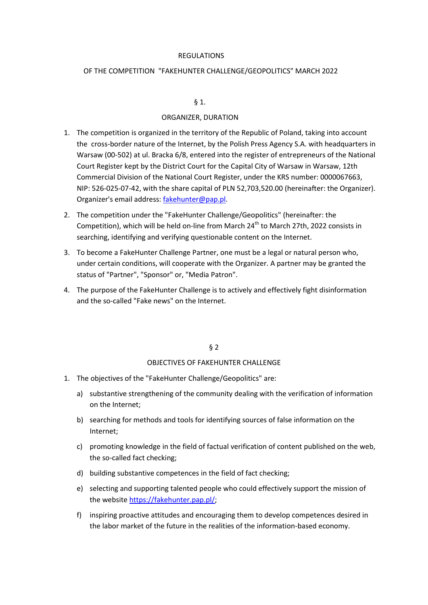### REGULATIONS

## OF THE COMPETITION "FAKEHUNTER CHALLENGE/GEOPOLITICS" MARCH 2022

# $\S 1.$

#### ORGANIZER, DURATION

- 1. The competition is organized in the territory of the Republic of Poland, taking into account the cross-border nature of the Internet, by the Polish Press Agency S.A. with headquarters in Warsaw (00-502) at ul. Bracka 6/8, entered into the register of entrepreneurs of the National Court Register kept by the District Court for the Capital City of Warsaw in Warsaw, 12th Commercial Division of the National Court Register, under the KRS number: 0000067663, NIP: 526-025-07-42, with the share capital of PLN 52,703,520.00 (hereinafter: the Organizer). Organizer's email address: [fakehunter@pap.pl.](mailto:fakehunter@pap.pl)
- 2. The competition under the "FakeHunter Challenge/Geopolitics" (hereinafter: the Competition), which will be held on-line from March 24<sup>th</sup> to March 27th, 2022 consists in searching, identifying and verifying questionable content on the Internet.
- 3. To become a FakeHunter Challenge Partner, one must be a legal or natural person who, under certain conditions, will cooperate with the Organizer. A partner may be granted the status of "Partner", "Sponsor" or, "Media Patron".
- 4. The purpose of the FakeHunter Challenge is to actively and effectively fight disinformation and the so-called "Fake news" on the Internet.

§ 2

#### OBJECTIVES OF FAKEHUNTER CHALLENGE

- 1. The objectives of the "FakeHunter Challenge/Geopolitics" are:
	- a) substantive strengthening of the community dealing with the verification of information on the Internet;
	- b) searching for methods and tools for identifying sources of false information on the Internet;
	- c) promoting knowledge in the field of factual verification of content published on the web, the so-called fact checking;
	- d) building substantive competences in the field of fact checking;
	- e) selecting and supporting talented people who could effectively support the mission of the website [https://fakehunter.pap.pl/;](https://fakehunter.pap.pl/)
	- f) inspiring proactive attitudes and encouraging them to develop competences desired in the labor market of the future in the realities of the information-based economy.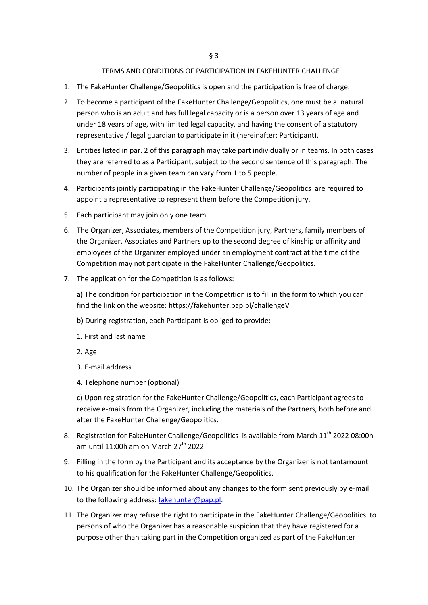## TERMS AND CONDITIONS OF PARTICIPATION IN FAKEHUNTER CHALLENGE

- 1. The FakeHunter Challenge/Geopolitics is open and the participation is free of charge.
- 2. To become a participant of the FakeHunter Challenge/Geopolitics, one must be a natural person who is an adult and has full legal capacity or is a person over 13 years of age and under 18 years of age, with limited legal capacity, and having the consent of a statutory representative / legal guardian to participate in it (hereinafter: Participant).
- 3. Entities listed in par. 2 of this paragraph may take part individually or in teams. In both cases they are referred to as a Participant, subject to the second sentence of this paragraph. The number of people in a given team can vary from 1 to 5 people.
- 4. Participants jointly participating in the FakeHunter Challenge/Geopolitics are required to appoint a representative to represent them before the Competition jury.
- 5. Each participant may join only one team.
- 6. The Organizer, Associates, members of the Competition jury, Partners, family members of the Organizer, Associates and Partners up to the second degree of kinship or affinity and employees of the Organizer employed under an employment contract at the time of the Competition may not participate in the FakeHunter Challenge/Geopolitics.
- 7. The application for the Competition is as follows:

a) The condition for participation in the Competition is to fill in the form to which you can find the link on the website: https://fakehunter.pap.pl/challengeV

- b) During registration, each Participant is obliged to provide:
- 1. First and last name
- 2. Age
- 3. E-mail address
- 4. Telephone number (optional)

c) Upon registration for the FakeHunter Challenge/Geopolitics, each Participant agrees to receive e-mails from the Organizer, including the materials of the Partners, both before and after the FakeHunter Challenge/Geopolitics.

- 8. Registration for FakeHunter Challenge/Geopolitics is available from March 11<sup>th</sup> 2022 08:00h am until 11:00h am on March  $27<sup>th</sup>$  2022.
- 9. Filling in the form by the Participant and its acceptance by the Organizer is not tantamount to his qualification for the FakeHunter Challenge/Geopolitics.
- 10. The Organizer should be informed about any changes to the form sent previously by e-mail to the following address: [fakehunter@pap.pl.](mailto:fakehunter@pap.pl)
- 11. The Organizer may refuse the right to participate in the FakeHunter Challenge/Geopolitics to persons of who the Organizer has a reasonable suspicion that they have registered for a purpose other than taking part in the Competition organized as part of the FakeHunter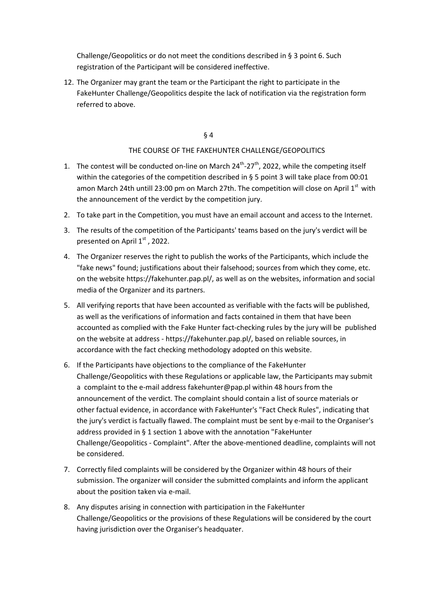Challenge/Geopolitics or do not meet the conditions described in § 3 point 6. Such registration of the Participant will be considered ineffective.

12. The Organizer may grant the team or the Participant the right to participate in the FakeHunter Challenge/Geopolitics despite the lack of notification via the registration form referred to above.

# § 4

# THE COURSE OF THE FAKEHUNTER CHALLENGE/GEOPOLITICS

- 1. The contest will be conducted on-line on March  $24^{th}$ - $27^{th}$ , 2022, while the competing itself within the categories of the competition described in § 5 point 3 will take place from 00:01 amon March 24th untill 23:00 pm on March 27th. The competition will close on April  $1<sup>st</sup>$  with the announcement of the verdict by the competition jury.
- 2. To take part in the Competition, you must have an email account and access to the Internet.
- 3. The results of the competition of the Participants' teams based on the jury's verdict will be presented on April 1<sup>st</sup>, 2022.
- 4. The Organizer reserves the right to publish the works of the Participants, which include the "fake news" found; justifications about their falsehood; sources from which they come, etc. on the website https://fakehunter.pap.pl/, as well as on the websites, information and social media of the Organizer and its partners.
- 5. All verifying reports that have been accounted as verifiable with the facts will be published, as well as the verifications of information and facts contained in them that have been accounted as complied with the Fake Hunter fact-checking rules by the jury will be published on the website at address - https://fakehunter.pap.pl/, based on reliable sources, in accordance with the fact checking methodology adopted on this website.
- 6. If the Participants have objections to the compliance of the FakeHunter Challenge/Geopolitics with these Regulations or applicable law, the Participants may submit a complaint to the e-mail address fakehunter@pap.pl within 48 hours from the announcement of the verdict. The complaint should contain a list of source materials or other factual evidence, in accordance with FakeHunter's "Fact Check Rules", indicating that the jury's verdict is factually flawed. The complaint must be sent by e-mail to the Organiser's address provided in § 1 section 1 above with the annotation "FakeHunter Challenge/Geopolitics - Complaint". After the above-mentioned deadline, complaints will not be considered.
- 7. Correctly filed complaints will be considered by the Organizer within 48 hours of their submission. The organizer will consider the submitted complaints and inform the applicant about the position taken via e-mail.
- 8. Any disputes arising in connection with participation in the FakeHunter Challenge/Geopolitics or the provisions of these Regulations will be considered by the court having jurisdiction over the Organiser's headquater.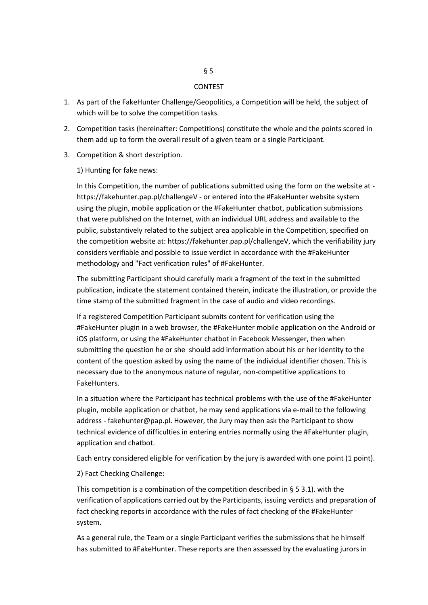#### CONTEST

- 1. As part of the FakeHunter Challenge/Geopolitics, a Competition will be held, the subject of which will be to solve the competition tasks.
- 2. Competition tasks (hereinafter: Competitions) constitute the whole and the points scored in them add up to form the overall result of a given team or a single Participant.
- 3. Competition & short description.
	- 1) Hunting for fake news:

In this Competition, the number of publications submitted using the form on the website at https://fakehunter.pap.pl/challengeV - or entered into the #FakeHunter website system using the plugin, mobile application or the #FakeHunter chatbot, publication submissions that were published on the Internet, with an individual URL address and available to the public, substantively related to the subject area applicable in the Competition, specified on the competition website at: https://fakehunter.pap.pl/challengeV, which the verifiability jury considers verifiable and possible to issue verdict in accordance with the #FakeHunter methodology and "Fact verification rules" of #FakeHunter.

The submitting Participant should carefully mark a fragment of the text in the submitted publication, indicate the statement contained therein, indicate the illustration, or provide the time stamp of the submitted fragment in the case of audio and video recordings.

If a registered Competition Participant submits content for verification using the #FakeHunter plugin in a web browser, the #FakeHunter mobile application on the Android or iOS platform, or using the #FakeHunter chatbot in Facebook Messenger, then when submitting the question he or she should add information about his or her identity to the content of the question asked by using the name of the individual identifier chosen. This is necessary due to the anonymous nature of regular, non-competitive applications to FakeHunters.

In a situation where the Participant has technical problems with the use of the #FakeHunter plugin, mobile application or chatbot, he may send applications via e-mail to the following address - fakehunter@pap.pl. However, the Jury may then ask the Participant to show technical evidence of difficulties in entering entries normally using the #FakeHunter plugin, application and chatbot.

Each entry considered eligible for verification by the jury is awarded with one point (1 point).

#### 2) Fact Checking Challenge:

This competition is a combination of the competition described in § 5 3.1). with the verification of applications carried out by the Participants, issuing verdicts and preparation of fact checking reports in accordance with the rules of fact checking of the #FakeHunter system.

As a general rule, the Team or a single Participant verifies the submissions that he himself has submitted to #FakeHunter. These reports are then assessed by the evaluating jurors in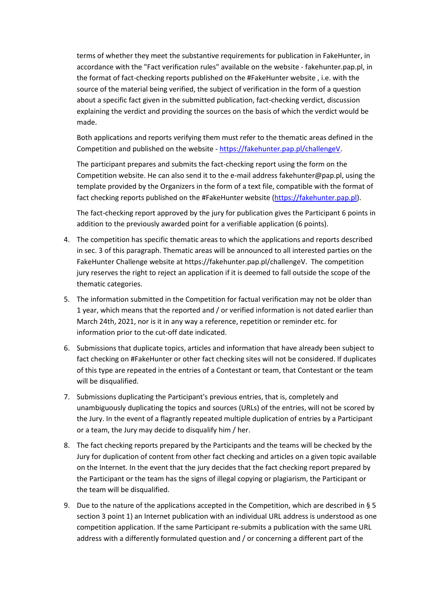terms of whether they meet the substantive requirements for publication in FakeHunter, in accordance with the "Fact verification rules" available on the website - fakehunter.pap.pl, in the format of fact-checking reports published on the #FakeHunter website , i.e. with the source of the material being verified, the subject of verification in the form of a question about a specific fact given in the submitted publication, fact-checking verdict, discussion explaining the verdict and providing the sources on the basis of which the verdict would be made.

Both applications and reports verifying them must refer to the thematic areas defined in the Competition and published on the website - [https://fakehunter.pap.pl/challengeV.](https://fakehunter.pap.pl/challengeV)

The participant prepares and submits the fact-checking report using the form on the Competition website. He can also send it to the e-mail address fakehunter@pap.pl, using the template provided by the Organizers in the form of a text file, compatible with the format of fact checking reports published on the #FakeHunter website [\(https://fakehunter.pap.pl\)](https://fakehunter.pap.pl/).

The fact-checking report approved by the jury for publication gives the Participant 6 points in addition to the previously awarded point for a verifiable application (6 points).

- 4. The competition has specific thematic areas to which the applications and reports described in sec. 3 of this paragraph. Thematic areas will be announced to all interested parties on the FakeHunter Challenge website at https://fakehunter.pap.pl/challengeV. The competition jury reserves the right to reject an application if it is deemed to fall outside the scope of the thematic categories.
- 5. The information submitted in the Competition for factual verification may not be older than 1 year, which means that the reported and / or verified information is not dated earlier than March 24th, 2021, nor is it in any way a reference, repetition or reminder etc. for information prior to the cut-off date indicated.
- 6. Submissions that duplicate topics, articles and information that have already been subject to fact checking on #FakeHunter or other fact checking sites will not be considered. If duplicates of this type are repeated in the entries of a Contestant or team, that Contestant or the team will be disqualified.
- 7. Submissions duplicating the Participant's previous entries, that is, completely and unambiguously duplicating the topics and sources (URLs) of the entries, will not be scored by the Jury. In the event of a flagrantly repeated multiple duplication of entries by a Participant or a team, the Jury may decide to disqualify him / her.
- 8. The fact checking reports prepared by the Participants and the teams will be checked by the Jury for duplication of content from other fact checking and articles on a given topic available on the Internet. In the event that the jury decides that the fact checking report prepared by the Participant or the team has the signs of illegal copying or plagiarism, the Participant or the team will be disqualified.
- 9. Due to the nature of the applications accepted in the Competition, which are described in § 5 section 3 point 1) an Internet publication with an individual URL address is understood as one competition application. If the same Participant re-submits a publication with the same URL address with a differently formulated question and / or concerning a different part of the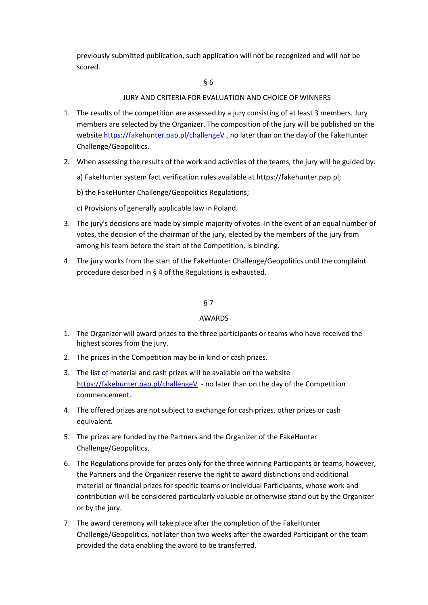previously submitted publication, such application will not be recognized and will not be scored.

### § 6

## JURY AND CRITERIA FOR EVALUATION AND CHOICE OF WINNERS

- 1. The results of the competition are assessed by a jury consisting of at least 3 members. Jury members are selected by the Organizer. The composition of the jury will be published on the websit[e https://fakehunter.pap.pl/challengeV](https://fakehunter.pap.pl/challengeV), no later than on the day of the FakeHunter Challenge/Geopolitics.
- 2. When assessing the results of the work and activities of the teams, the jury will be guided by:
	- a) FakeHunter system fact verification rules available at https://fakehunter.pap.pl;
	- b) the FakeHunter Challenge/Geopolitics Regulations;
	- c) Provisions of generally applicable law in Poland.
- 3. The jury's decisions are made by simple majority of votes. In the event of an equal number of votes, the decision of the chairman of the jury, elected by the members of the jury from among his team before the start of the Competition, is binding.
- 4. The jury works from the start of the FakeHunter Challenge/Geopolitics until the complaint procedure described in § 4 of the Regulations is exhausted.

## § 7

#### AWARDS

- 1. The Organizer will award prizes to the three participants or teams who have received the highest scores from the jury.
- 2. The prizes in the Competition may be in kind or cash prizes.
- 3. The list of material and cash prizes will be available on the website <https://fakehunter.pap.pl/challengeV>- no later than on the day of the Competition commencement.
- 4. The offered prizes are not subject to exchange for cash prizes, other prizes or cash equivalent.
- 5. The prizes are funded by the Partners and the Organizer of the FakeHunter Challenge/Geopolitics.
- 6. The Regulations provide for prizes only for the three winning Participants or teams, however, the Partners and the Organizer reserve the right to award distinctions and additional material or financial prizes for specific teams or individual Participants, whose work and contribution will be considered particularly valuable or otherwise stand out by the Organizer or by the jury.
- 7. The award ceremony will take place after the completion of the FakeHunter Challenge/Geopolitics, not later than two weeks after the awarded Participant or the team provided the data enabling the award to be transferred.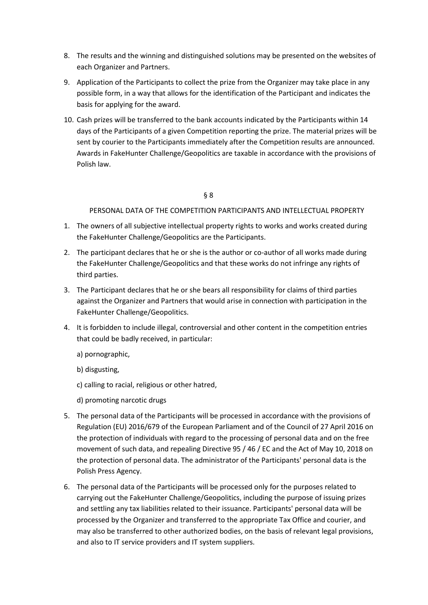- 8. The results and the winning and distinguished solutions may be presented on the websites of each Organizer and Partners.
- 9. Application of the Participants to collect the prize from the Organizer may take place in any possible form, in a way that allows for the identification of the Participant and indicates the basis for applying for the award.
- 10. Cash prizes will be transferred to the bank accounts indicated by the Participants within 14 days of the Participants of a given Competition reporting the prize. The material prizes will be sent by courier to the Participants immediately after the Competition results are announced. Awards in FakeHunter Challenge/Geopolitics are taxable in accordance with the provisions of Polish law.

## § 8

PERSONAL DATA OF THE COMPETITION PARTICIPANTS AND INTELLECTUAL PROPERTY

- 1. The owners of all subjective intellectual property rights to works and works created during the FakeHunter Challenge/Geopolitics are the Participants.
- 2. The participant declares that he or she is the author or co-author of all works made during the FakeHunter Challenge/Geopolitics and that these works do not infringe any rights of third parties.
- 3. The Participant declares that he or she bears all responsibility for claims of third parties against the Organizer and Partners that would arise in connection with participation in the FakeHunter Challenge/Geopolitics.
- 4. It is forbidden to include illegal, controversial and other content in the competition entries that could be badly received, in particular:
	- a) pornographic,
	- b) disgusting,
	- c) calling to racial, religious or other hatred,
	- d) promoting narcotic drugs
- 5. The personal data of the Participants will be processed in accordance with the provisions of Regulation (EU) 2016/679 of the European Parliament and of the Council of 27 April 2016 on the protection of individuals with regard to the processing of personal data and on the free movement of such data, and repealing Directive 95 / 46 / EC and the Act of May 10, 2018 on the protection of personal data. The administrator of the Participants' personal data is the Polish Press Agency.
- 6. The personal data of the Participants will be processed only for the purposes related to carrying out the FakeHunter Challenge/Geopolitics, including the purpose of issuing prizes and settling any tax liabilities related to their issuance. Participants' personal data will be processed by the Organizer and transferred to the appropriate Tax Office and courier, and may also be transferred to other authorized bodies, on the basis of relevant legal provisions, and also to IT service providers and IT system suppliers.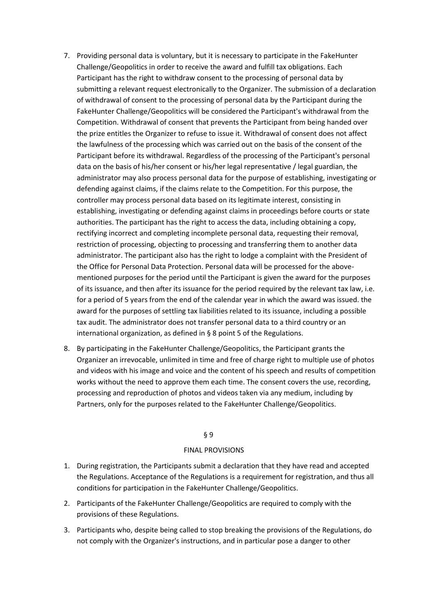- 7. Providing personal data is voluntary, but it is necessary to participate in the FakeHunter Challenge/Geopolitics in order to receive the award and fulfill tax obligations. Each Participant has the right to withdraw consent to the processing of personal data by submitting a relevant request electronically to the Organizer. The submission of a declaration of withdrawal of consent to the processing of personal data by the Participant during the FakeHunter Challenge/Geopolitics will be considered the Participant's withdrawal from the Competition. Withdrawal of consent that prevents the Participant from being handed over the prize entitles the Organizer to refuse to issue it. Withdrawal of consent does not affect the lawfulness of the processing which was carried out on the basis of the consent of the Participant before its withdrawal. Regardless of the processing of the Participant's personal data on the basis of his/her consent or his/her legal representative / legal guardian, the administrator may also process personal data for the purpose of establishing, investigating or defending against claims, if the claims relate to the Competition. For this purpose, the controller may process personal data based on its legitimate interest, consisting in establishing, investigating or defending against claims in proceedings before courts or state authorities. The participant has the right to access the data, including obtaining a copy, rectifying incorrect and completing incomplete personal data, requesting their removal, restriction of processing, objecting to processing and transferring them to another data administrator. The participant also has the right to lodge a complaint with the President of the Office for Personal Data Protection. Personal data will be processed for the abovementioned purposes for the period until the Participant is given the award for the purposes of its issuance, and then after its issuance for the period required by the relevant tax law, i.e. for a period of 5 years from the end of the calendar year in which the award was issued. the award for the purposes of settling tax liabilities related to its issuance, including a possible tax audit. The administrator does not transfer personal data to a third country or an international organization, as defined in § 8 point 5 of the Regulations.
- 8. By participating in the FakeHunter Challenge/Geopolitics, the Participant grants the Organizer an irrevocable, unlimited in time and free of charge right to multiple use of photos and videos with his image and voice and the content of his speech and results of competition works without the need to approve them each time. The consent covers the use, recording, processing and reproduction of photos and videos taken via any medium, including by Partners, only for the purposes related to the FakeHunter Challenge/Geopolitics.

## § 9

## FINAL PROVISIONS

- 1. During registration, the Participants submit a declaration that they have read and accepted the Regulations. Acceptance of the Regulations is a requirement for registration, and thus all conditions for participation in the FakeHunter Challenge/Geopolitics.
- 2. Participants of the FakeHunter Challenge/Geopolitics are required to comply with the provisions of these Regulations.
- 3. Participants who, despite being called to stop breaking the provisions of the Regulations, do not comply with the Organizer's instructions, and in particular pose a danger to other